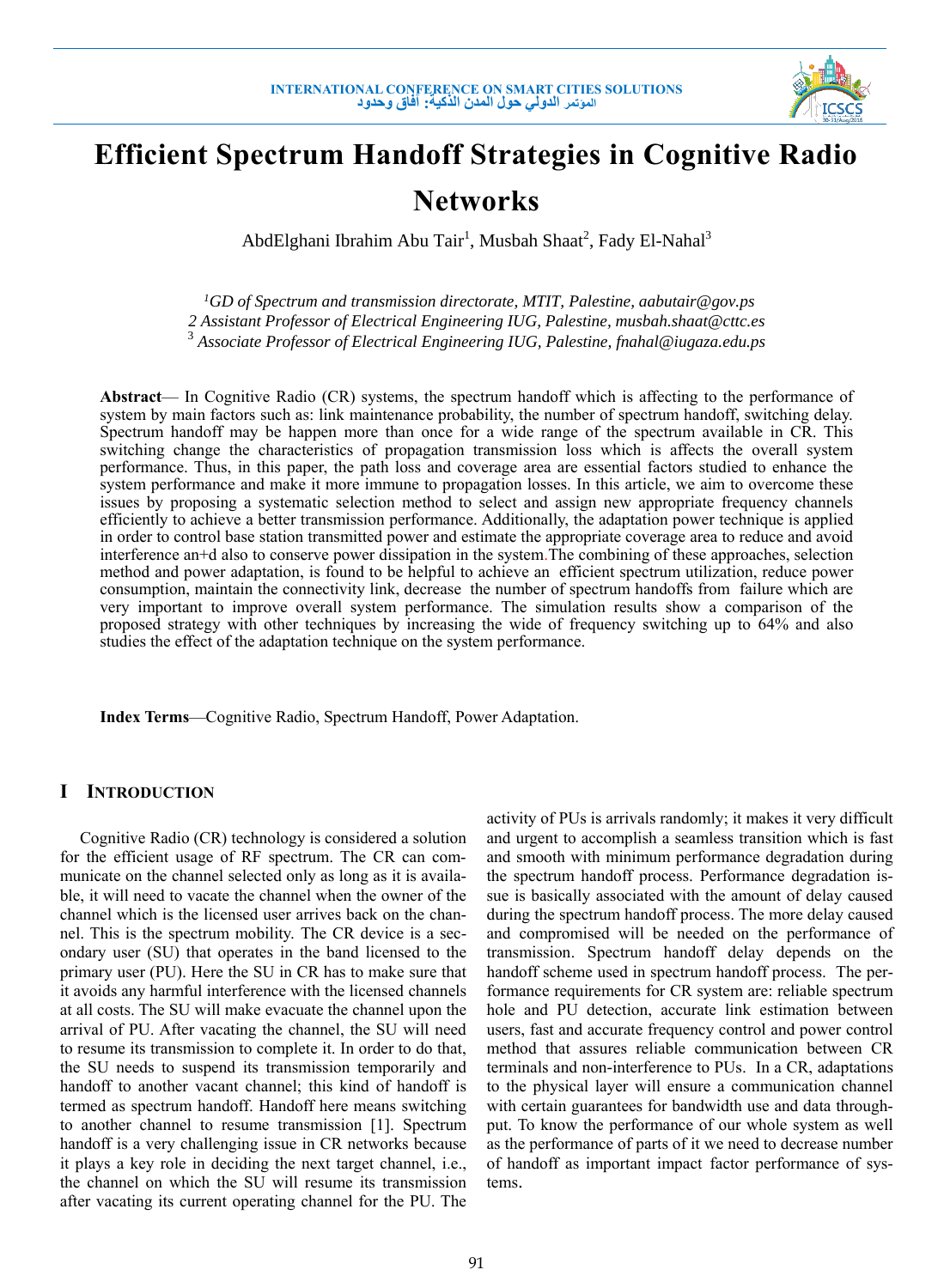

# **Efficient Spectrum Handoff Strategies in Cognitive Radio Networks**

AbdElghani Ibrahim Abu Tair<sup>1</sup>, Musbah Shaat<sup>2</sup>, Fady El-Nahal<sup>3</sup>

*<sup>1</sup>GD of Spectrum and transmission directorate, MTIT, Palestine, aabutair@gov.ps 2 Assistant Professor of Electrical Engineering IUG, Palestine, musbah.shaat@cttc.es*

<sup>3</sup> *Associate Professor of Electrical Engineering IUG, Palestine, fnahal@iugaza.edu.ps*

**Abstract**— In Cognitive Radio (CR) systems, the spectrum handoff which is affecting to the performance of system by main factors such as: link maintenance probability, the number of spectrum handoff, switching delay. Spectrum handoff may be happen more than once for a wide range of the spectrum available in CR. This switching change the characteristics of propagation transmission loss which is affects the overall system performance. Thus, in this paper, the path loss and coverage area are essential factors studied to enhance the system performance and make it more immune to propagation losses. In this article, we aim to overcome these issues by proposing a systematic selection method to select and assign new appropriate frequency channels efficiently to achieve a better transmission performance. Additionally, the adaptation power technique is applied in order to control base station transmitted power and estimate the appropriate coverage area to reduce and avoid interference an+d also to conserve power dissipation in the system.The combining of these approaches, selection method and power adaptation, is found to be helpful to achieve an efficient spectrum utilization, reduce power consumption, maintain the connectivity link, decrease the number of spectrum handoffs from failure which are very important to improve overall system performance. The simulation results show a comparison of the proposed strategy with other techniques by increasing the wide of frequency switching up to 64% and also studies the effect of the adaptation technique on the system performance.

**Index Terms**—Cognitive Radio, Spectrum Handoff, Power Adaptation.

## **I INTRODUCTION**

Cognitive Radio (CR) technology is considered a solution for the efficient usage of RF spectrum. The CR can communicate on the channel selected only as long as it is available, it will need to vacate the channel when the owner of the channel which is the licensed user arrives back on the channel. This is the spectrum mobility. The CR device is a secondary user (SU) that operates in the band licensed to the primary user (PU). Here the SU in CR has to make sure that it avoids any harmful interference with the licensed channels at all costs. The SU will make evacuate the channel upon the arrival of PU. After vacating the channel, the SU will need to resume its transmission to complete it. In order to do that, the SU needs to suspend its transmission temporarily and handoff to another vacant channel; this kind of handoff is termed as spectrum handoff. Handoff here means switching to another channel to resume transmission [1]. Spectrum handoff is a very challenging issue in CR networks because it plays a key role in deciding the next target channel, i.e., the channel on which the SU will resume its transmission after vacating its current operating channel for the PU. The activity of PUs is arrivals randomly; it makes it very difficult and urgent to accomplish a seamless transition which is fast and smooth with minimum performance degradation during the spectrum handoff process. Performance degradation issue is basically associated with the amount of delay caused during the spectrum handoff process. The more delay caused and compromised will be needed on the performance of transmission. Spectrum handoff delay depends on the handoff scheme used in spectrum handoff process. The performance requirements for CR system are: reliable spectrum hole and PU detection, accurate link estimation between users, fast and accurate frequency control and power control method that assures reliable communication between CR terminals and non-interference to PUs. In a CR, adaptations to the physical layer will ensure a communication channel with certain guarantees for bandwidth use and data throughput. To know the performance of our whole system as well as the performance of parts of it we need to decrease number of handoff as important impact factor performance of systems.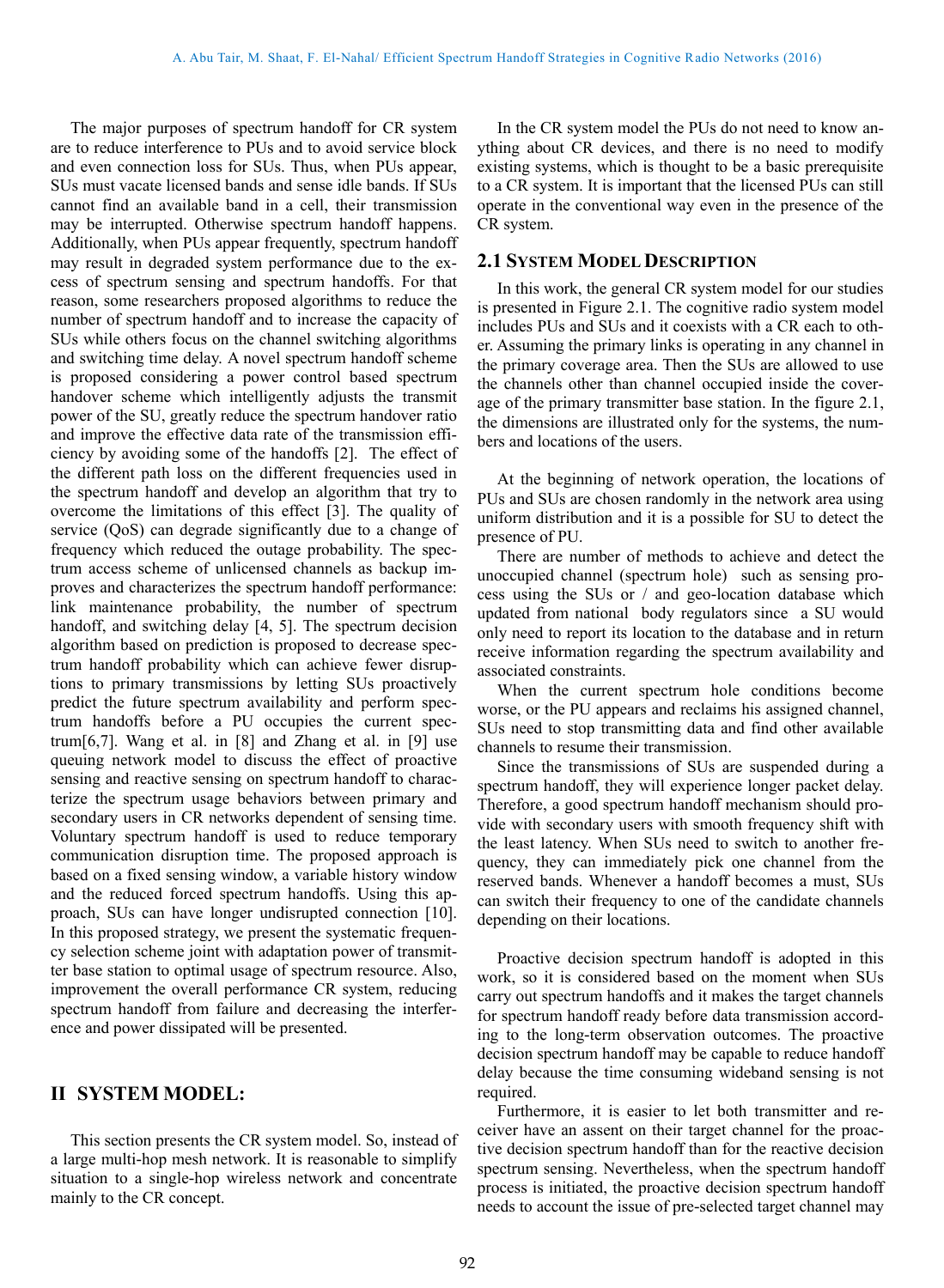The major purposes of spectrum handoff for CR system are to reduce interference to PUs and to avoid service block and even connection loss for SUs. Thus, when PUs appear, SUs must vacate licensed bands and sense idle bands. If SUs cannot find an available band in a cell, their transmission may be interrupted. Otherwise spectrum handoff happens. Additionally, when PUs appear frequently, spectrum handoff may result in degraded system performance due to the excess of spectrum sensing and spectrum handoffs. For that reason, some researchers proposed algorithms to reduce the number of spectrum handoff and to increase the capacity of SUs while others focus on the channel switching algorithms and switching time delay. A novel spectrum handoff scheme is proposed considering a power control based spectrum handover scheme which intelligently adjusts the transmit power of the SU, greatly reduce the spectrum handover ratio and improve the effective data rate of the transmission efficiency by avoiding some of the handoffs [2]. The effect of the different path loss on the different frequencies used in the spectrum handoff and develop an algorithm that try to overcome the limitations of this effect [3]. The quality of service (QoS) can degrade significantly due to a change of frequency which reduced the outage probability. The spectrum access scheme of unlicensed channels as backup improves and characterizes the spectrum handoff performance: link maintenance probability, the number of spectrum handoff, and switching delay [4, 5]. The spectrum decision algorithm based on prediction is proposed to decrease spectrum handoff probability which can achieve fewer disruptions to primary transmissions by letting SUs proactively predict the future spectrum availability and perform spectrum handoffs before a PU occupies the current spectrum $[6,7]$ . Wang et al. in  $[8]$  and Zhang et al. in  $[9]$  use queuing network model to discuss the effect of proactive sensing and reactive sensing on spectrum handoff to characterize the spectrum usage behaviors between primary and secondary users in CR networks dependent of sensing time. Voluntary spectrum handoff is used to reduce temporary communication disruption time. The proposed approach is based on a fixed sensing window, a variable history window and the reduced forced spectrum handoffs. Using this approach, SUs can have longer undisrupted connection [10]. In this proposed strategy, we present the systematic frequency selection scheme joint with adaptation power of transmitter base station to optimal usage of spectrum resource. Also, improvement the overall performance CR system, reducing spectrum handoff from failure and decreasing the interference and power dissipated will be presented.

## **II SYSTEM MODEL:**

This section presents the CR system model. So, instead of a large multi-hop mesh network. It is reasonable to simplify situation to a single-hop wireless network and concentrate mainly to the CR concept.

In the CR system model the PUs do not need to know anything about CR devices, and there is no need to modify existing systems, which is thought to be a basic prerequisite to a CR system. It is important that the licensed PUs can still operate in the conventional way even in the presence of the CR system.

#### **2.1 SYSTEM MODEL DESCRIPTION**

In this work, the general CR system model for our studies is presented in Figure 2.1. The cognitive radio system model includes PUs and SUs and it coexists with a CR each to other. Assuming the primary links is operating in any channel in the primary coverage area. Then the SUs are allowed to use the channels other than channel occupied inside the coverage of the primary transmitter base station. In the figure 2.1, the dimensions are illustrated only for the systems, the numbers and locations of the users.

At the beginning of network operation, the locations of PUs and SUs are chosen randomly in the network area using uniform distribution and it is a possible for SU to detect the presence of PU.

There are number of methods to achieve and detect the unoccupied channel (spectrum hole) such as sensing process using the SUs or / and geo-location database which updated from national body regulators since a SU would only need to report its location to the database and in return receive information regarding the spectrum availability and associated constraints.

When the current spectrum hole conditions become worse, or the PU appears and reclaims his assigned channel, SUs need to stop transmitting data and find other available channels to resume their transmission.

Since the transmissions of SUs are suspended during a spectrum handoff, they will experience longer packet delay. Therefore, a good spectrum handoff mechanism should provide with secondary users with smooth frequency shift with the least latency. When SUs need to switch to another frequency, they can immediately pick one channel from the reserved bands. Whenever a handoff becomes a must, SUs can switch their frequency to one of the candidate channels depending on their locations.

Proactive decision spectrum handoff is adopted in this work, so it is considered based on the moment when SUs carry out spectrum handoffs and it makes the target channels for spectrum handoff ready before data transmission according to the long-term observation outcomes. The proactive decision spectrum handoff may be capable to reduce handoff delay because the time consuming wideband sensing is not required.

Furthermore, it is easier to let both transmitter and receiver have an assent on their target channel for the proactive decision spectrum handoff than for the reactive decision spectrum sensing. Nevertheless, when the spectrum handoff process is initiated, the proactive decision spectrum handoff needs to account the issue of pre-selected target channel may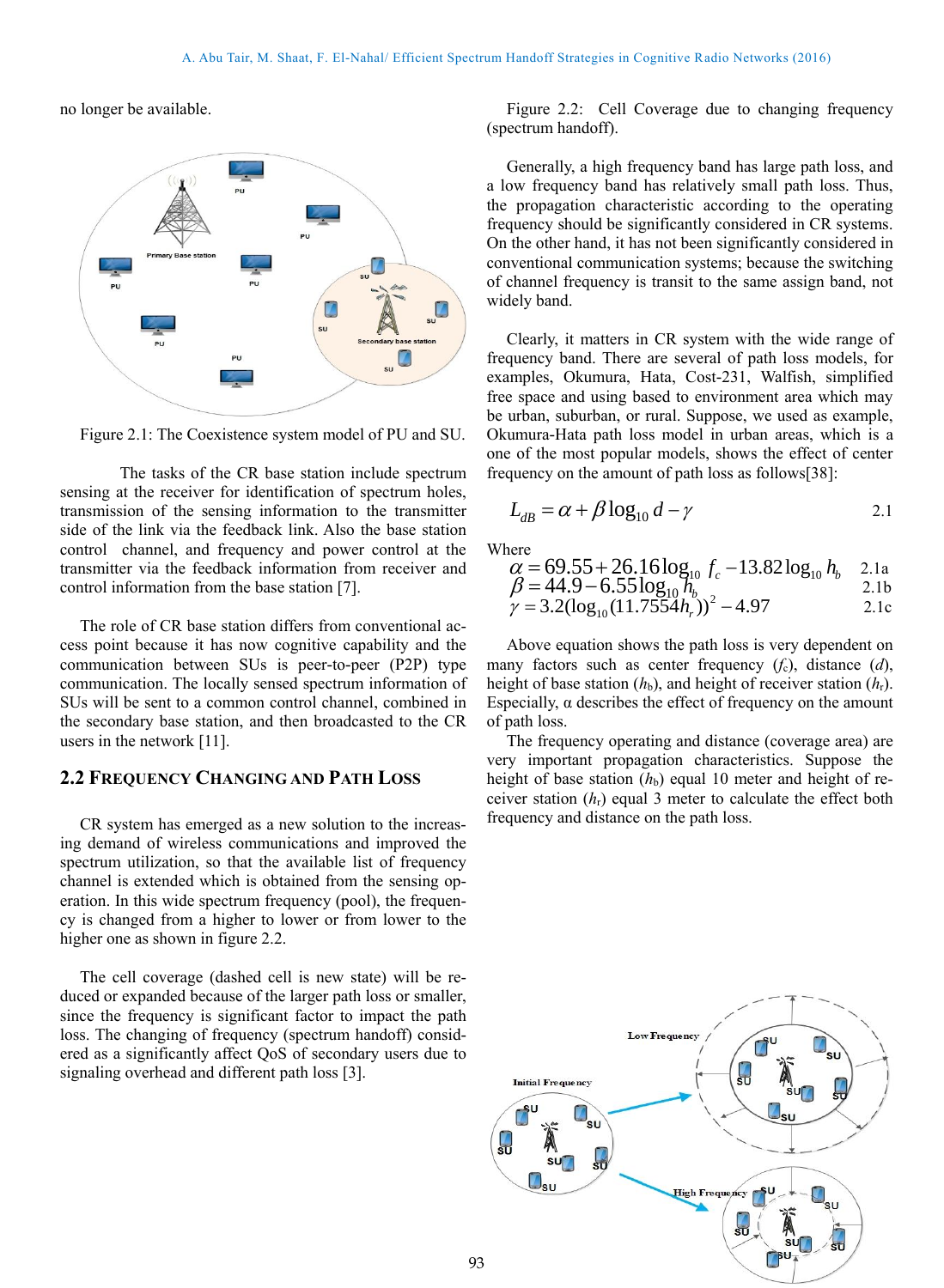no longer be available.



Figure 2.1: The Coexistence system model of PU and SU.

The tasks of the CR base station include spectrum sensing at the receiver for identification of spectrum holes, transmission of the sensing information to the transmitter side of the link via the feedback link. Also the base station control channel, and frequency and power control at the transmitter via the feedback information from receiver and control information from the base station [7].

The role of CR base station differs from conventional access point because it has now cognitive capability and the communication between SUs is peer-to-peer (P2P) type communication. The locally sensed spectrum information of SUs will be sent to a common control channel, combined in the secondary base station, and then broadcasted to the CR users in the network [11].

## **2.2 FREQUENCY CHANGING AND PATH LOSS**

CR system has emerged as a new solution to the increasing demand of wireless communications and improved the spectrum utilization, so that the available list of frequency channel is extended which is obtained from the sensing operation. In this wide spectrum frequency (pool), the frequency is changed from a higher to lower or from lower to the higher one as shown in figure 2.2.

The cell coverage (dashed cell is new state) will be reduced or expanded because of the larger path loss or smaller, since the frequency is significant factor to impact the path loss. The changing of frequency (spectrum handoff) considered as a significantly affect QoS of secondary users due to signaling overhead and different path loss [3].

Figure 2.2: Cell Coverage due to changing frequency (spectrum handoff).

Generally, a high frequency band has large path loss, and a low frequency band has relatively small path loss. Thus, the propagation characteristic according to the operating frequency should be significantly considered in CR systems. On the other hand, it has not been significantly considered in conventional communication systems; because the switching of channel frequency is transit to the same assign band, not widely band.

Clearly, it matters in CR system with the wide range of frequency band. There are several of path loss models, for examples, Okumura, Hata, Cost-231, Walfish, simplified free space and using based to environment area which may be urban, suburban, or rural. Suppose, we used as example, Okumura-Hata path loss model in urban areas, which is a one of the most popular models, shows the effect of center frequency on the amount of path loss as follows[38]:

$$
L_{dB} = \alpha + \beta \log_{10} d - \gamma \tag{2.1}
$$

Where

$$
\alpha = 69.55 + 26.16 \log_{10} f_c - 13.82 \log_{10} h_b
$$
 2.1a  
\n
$$
\beta = 44.9 - 6.55 \log_{10} h_b
$$
 2.1b  
\n
$$
\gamma = 3.2(\log_{10} (11.7554 h_r))^2 - 4.97
$$
 2.1c

Above equation shows the path loss is very dependent on many factors such as center frequency 
$$
(f_c)
$$
, distance  $(d)$ , height of base station  $(h_b)$ , and height of receiver station  $(h_r)$ . Especially,  $\alpha$  describes the effect of frequency on the amount of path loss.

The frequency operating and distance (coverage area) are very important propagation characteristics. Suppose the height of base station  $(h_b)$  equal 10 meter and height of receiver station  $(h_r)$  equal 3 meter to calculate the effect both frequency and distance on the path loss.

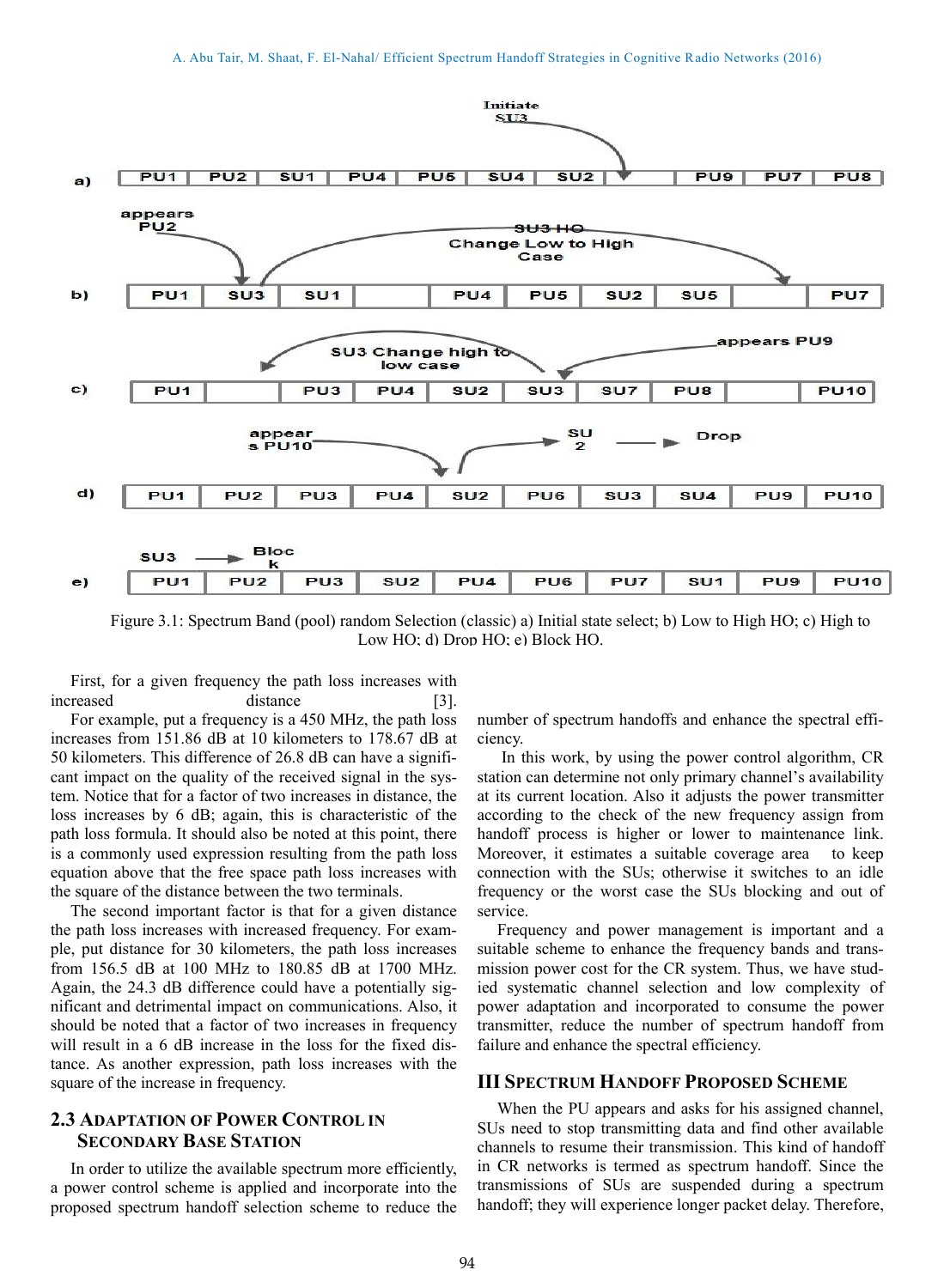

Figure 3.1: Spectrum Band (pool) random Selection (classic) a) Initial state select; b) Low to High HO; c) High to Low HO; d) Drop HO; e) Block HO.

First, for a given frequency the path loss increases with increased distance

For example, put a frequency is a 450 MHz, the path loss increases from 151.86 dB at 10 kilometers to 178.67 dB at 50 kilometers. This difference of 26.8 dB can have a significant impact on the quality of the received signal in the system. Notice that for a factor of two increases in distance, the loss increases by 6 dB; again, this is characteristic of the path loss formula. It should also be noted at this point, there is a commonly used expression resulting from the path loss equation above that the free space path loss increases with the square of the distance between the two terminals.

The second important factor is that for a given distance the path loss increases with increased frequency. For example, put distance for 30 kilometers, the path loss increases from 156.5 dB at 100 MHz to 180.85 dB at 1700 MHz. Again, the 24.3 dB difference could have a potentially significant and detrimental impact on communications. Also, it should be noted that a factor of two increases in frequency will result in a 6 dB increase in the loss for the fixed distance. As another expression, path loss increases with the square of the increase in frequency.

## **2.3 ADAPTATION OF POWER CONTROL IN SECONDARY BASE STATION**

In order to utilize the available spectrum more efficiently, a power control scheme is applied and incorporate into the proposed spectrum handoff selection scheme to reduce the number of spectrum handoffs and enhance the spectral efficiency.

In this work, by using the power control algorithm, CR station can determine not only primary channel's availability at its current location. Also it adjusts the power transmitter according to the check of the new frequency assign from handoff process is higher or lower to maintenance link. Moreover, it estimates a suitable coverage area to keep connection with the SUs; otherwise it switches to an idle frequency or the worst case the SUs blocking and out of service.

Frequency and power management is important and a suitable scheme to enhance the frequency bands and transmission power cost for the CR system. Thus, we have studied systematic channel selection and low complexity of power adaptation and incorporated to consume the power transmitter, reduce the number of spectrum handoff from failure and enhance the spectral efficiency.

### **III SPECTRUM HANDOFF PROPOSED SCHEME**

When the PU appears and asks for his assigned channel, SUs need to stop transmitting data and find other available channels to resume their transmission. This kind of handoff in CR networks is termed as spectrum handoff. Since the transmissions of SUs are suspended during a spectrum handoff; they will experience longer packet delay. Therefore,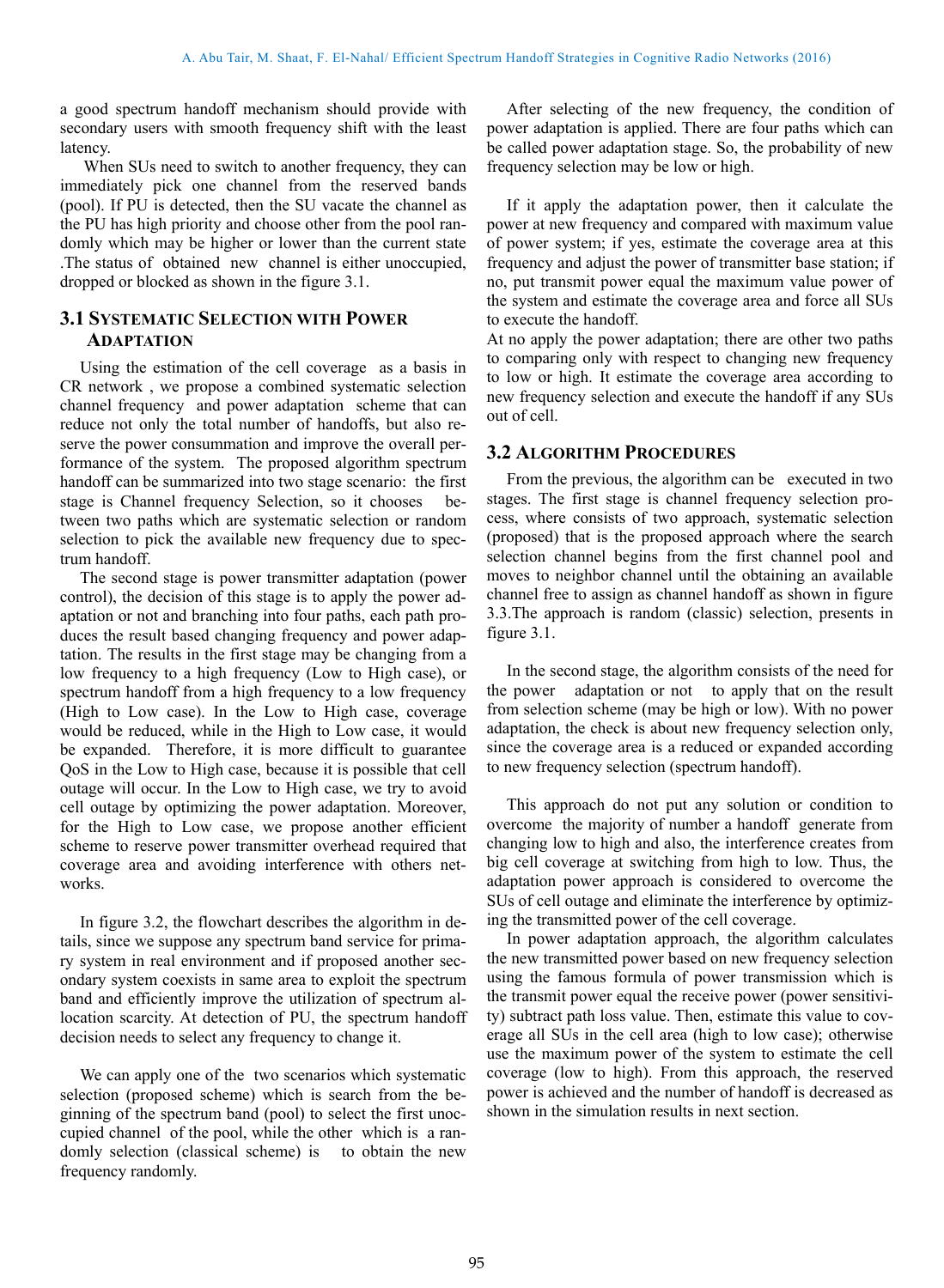a good spectrum handoff mechanism should provide with secondary users with smooth frequency shift with the least latency.

When SUs need to switch to another frequency, they can immediately pick one channel from the reserved bands (pool). If PU is detected, then the SU vacate the channel as the PU has high priority and choose other from the pool randomly which may be higher or lower than the current state .The status of obtained new channel is either unoccupied, dropped or blocked as shown in the figure 3.1.

# **3.1 SYSTEMATIC SELECTION WITH POWER ADAPTATION**

Using the estimation of the cell coverage as a basis in CR network , we propose a combined systematic selection channel frequency and power adaptation scheme that can reduce not only the total number of handoffs, but also reserve the power consummation and improve the overall performance of the system. The proposed algorithm spectrum handoff can be summarized into two stage scenario: the first stage is Channel frequency Selection, so it chooses between two paths which are systematic selection or random selection to pick the available new frequency due to spectrum handoff.

The second stage is power transmitter adaptation (power control), the decision of this stage is to apply the power adaptation or not and branching into four paths, each path produces the result based changing frequency and power adaptation. The results in the first stage may be changing from a low frequency to a high frequency (Low to High case), or spectrum handoff from a high frequency to a low frequency (High to Low case). In the Low to High case, coverage would be reduced, while in the High to Low case, it would be expanded. Therefore, it is more difficult to guarantee QoS in the Low to High case, because it is possible that cell outage will occur. In the Low to High case, we try to avoid cell outage by optimizing the power adaptation. Moreover, for the High to Low case, we propose another efficient scheme to reserve power transmitter overhead required that coverage area and avoiding interference with others networks.

In figure 3.2, the flowchart describes the algorithm in details, since we suppose any spectrum band service for primary system in real environment and if proposed another secondary system coexists in same area to exploit the spectrum band and efficiently improve the utilization of spectrum allocation scarcity. At detection of PU, the spectrum handoff decision needs to select any frequency to change it.

We can apply one of the two scenarios which systematic selection (proposed scheme) which is search from the beginning of the spectrum band (pool) to select the first unoccupied channel of the pool, while the other which is a randomly selection (classical scheme) is to obtain the new frequency randomly.

After selecting of the new frequency, the condition of power adaptation is applied. There are four paths which can be called power adaptation stage. So, the probability of new frequency selection may be low or high.

If it apply the adaptation power, then it calculate the power at new frequency and compared with maximum value of power system; if yes, estimate the coverage area at this frequency and adjust the power of transmitter base station; if no, put transmit power equal the maximum value power of the system and estimate the coverage area and force all SUs to execute the handoff.

At no apply the power adaptation; there are other two paths to comparing only with respect to changing new frequency to low or high. It estimate the coverage area according to new frequency selection and execute the handoff if any SUs out of cell.

## **3.2 ALGORITHM PROCEDURES**

From the previous, the algorithm can be executed in two stages. The first stage is channel frequency selection process, where consists of two approach, systematic selection (proposed) that is the proposed approach where the search selection channel begins from the first channel pool and moves to neighbor channel until the obtaining an available channel free to assign as channel handoff as shown in figure 3.3.The approach is random (classic) selection, presents in figure 3.1.

In the second stage, the algorithm consists of the need for the power adaptation or not to apply that on the result from selection scheme (may be high or low). With no power adaptation, the check is about new frequency selection only, since the coverage area is a reduced or expanded according to new frequency selection (spectrum handoff).

This approach do not put any solution or condition to overcome the majority of number a handoff generate from changing low to high and also, the interference creates from big cell coverage at switching from high to low. Thus, the adaptation power approach is considered to overcome the SUs of cell outage and eliminate the interference by optimizing the transmitted power of the cell coverage.

In power adaptation approach, the algorithm calculates the new transmitted power based on new frequency selection using the famous formula of power transmission which is the transmit power equal the receive power (power sensitivity) subtract path loss value. Then, estimate this value to coverage all SUs in the cell area (high to low case); otherwise use the maximum power of the system to estimate the cell coverage (low to high). From this approach, the reserved power is achieved and the number of handoff is decreased as shown in the simulation results in next section.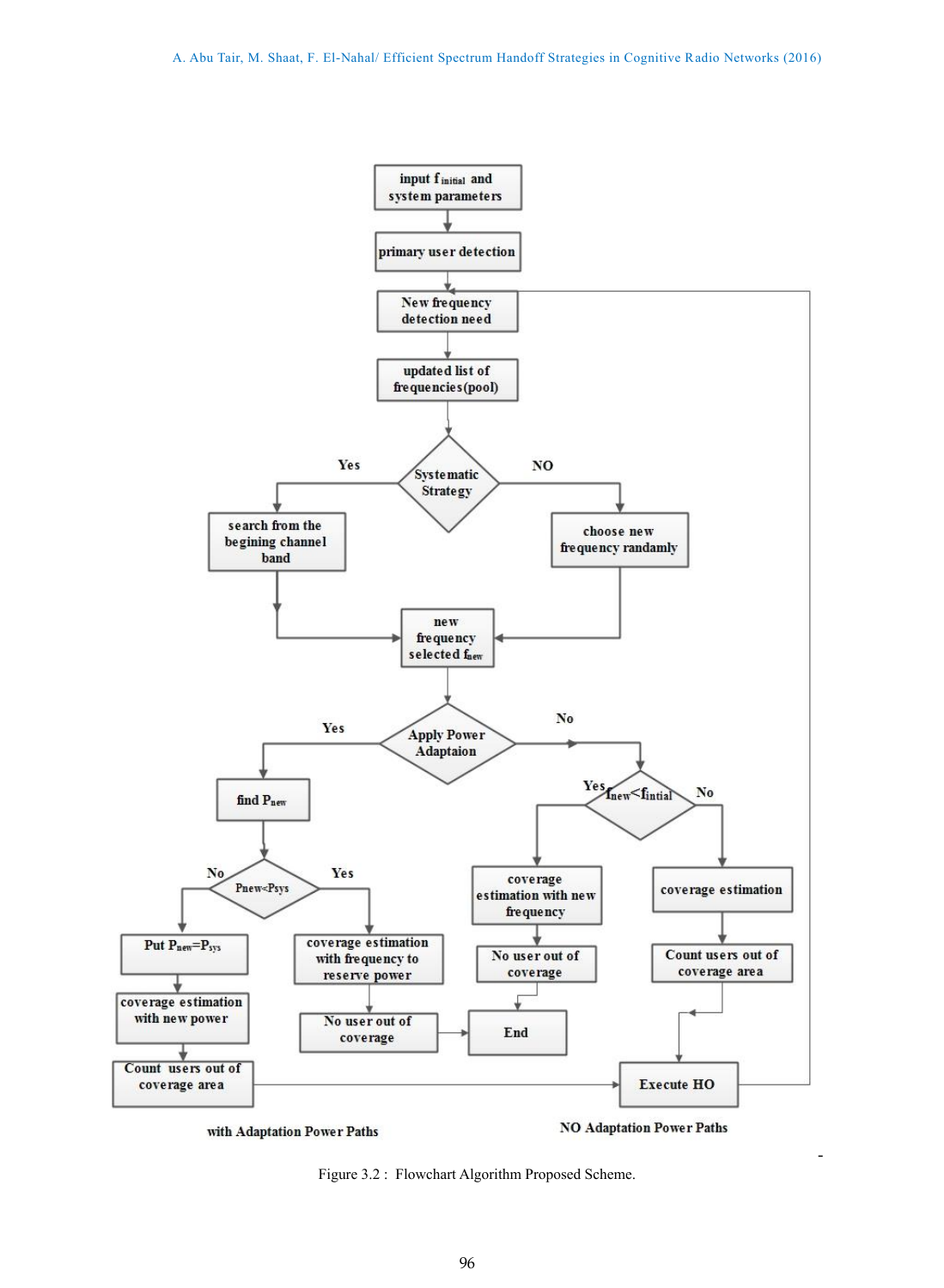

Figure 3.2 : Flowchart Algorithm Proposed Scheme.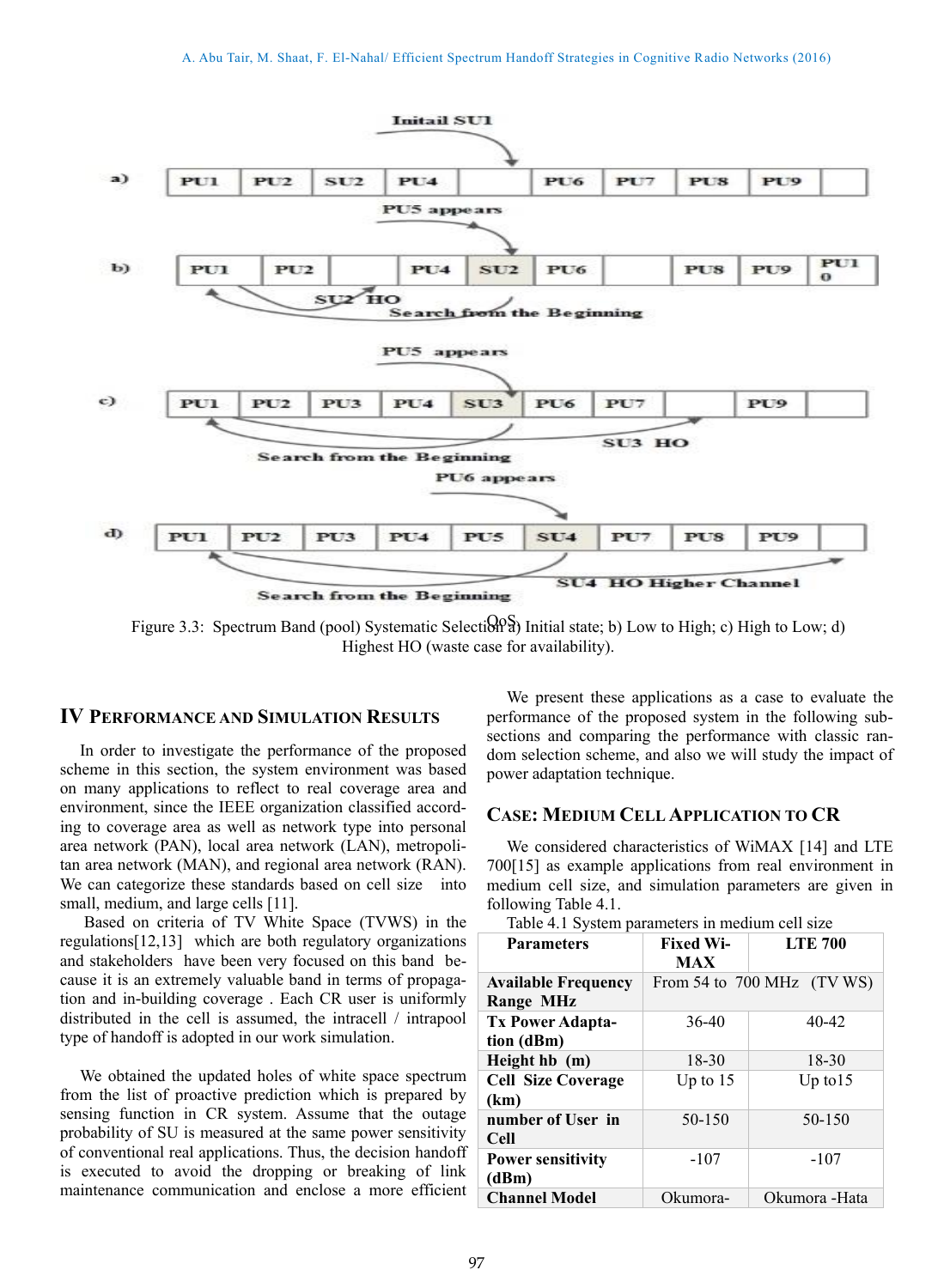

Figure 3.3: Spectrum Band (pool) Systematic Selection a) Initial state; b) Low to High; c) High to Low; d) Highest HO (waste case for availability).

## **IV PERFORMANCE AND SIMULATION RESULTS**

In order to investigate the performance of the proposed scheme in this section, the system environment was based on many applications to reflect to real coverage area and environment, since the IEEE organization classified according to coverage area as well as network type into personal area network (PAN), local area network (LAN), metropolitan area network (MAN), and regional area network (RAN). We can categorize these standards based on cell size into small, medium, and large cells [11].

Based on criteria of TV White Space (TVWS) in the regulations[12,13] which are both regulatory organizations and stakeholders have been very focused on this band because it is an extremely valuable band in terms of propagation and in-building coverage . Each CR user is uniformly distributed in the cell is assumed, the intracell / intrapool type of handoff is adopted in our work simulation.

We obtained the updated holes of white space spectrum from the list of proactive prediction which is prepared by sensing function in CR system. Assume that the outage probability of SU is measured at the same power sensitivity of conventional real applications. Thus, the decision handoff is executed to avoid the dropping or breaking of link maintenance communication and enclose a more efficient

We present these applications as a case to evaluate the performance of the proposed system in the following subsections and comparing the performance with classic random selection scheme, and also we will study the impact of power adaptation technique.

#### **CASE: MEDIUM CELL APPLICATION TO CR**

We considered characteristics of WiMAX [14] and LTE 700[15] as example applications from real environment in medium cell size, and simulation parameters are given in following Table 4.1.

| <b>Fixed Wi-</b><br><b>MAX</b> | <b>LTE 700</b>             |
|--------------------------------|----------------------------|
|                                | From 54 to 700 MHz (TV WS) |
| 36-40                          | $40 - 42$                  |
| 18-30                          | 18-30                      |
| Up to $15$                     | Up to $15$                 |
| 50-150                         | 50-150                     |
| $-107$                         | $-107$                     |
| Okumora-                       | Okumora -Hata              |
|                                |                            |

Table 4.1 System parameters in medium cell size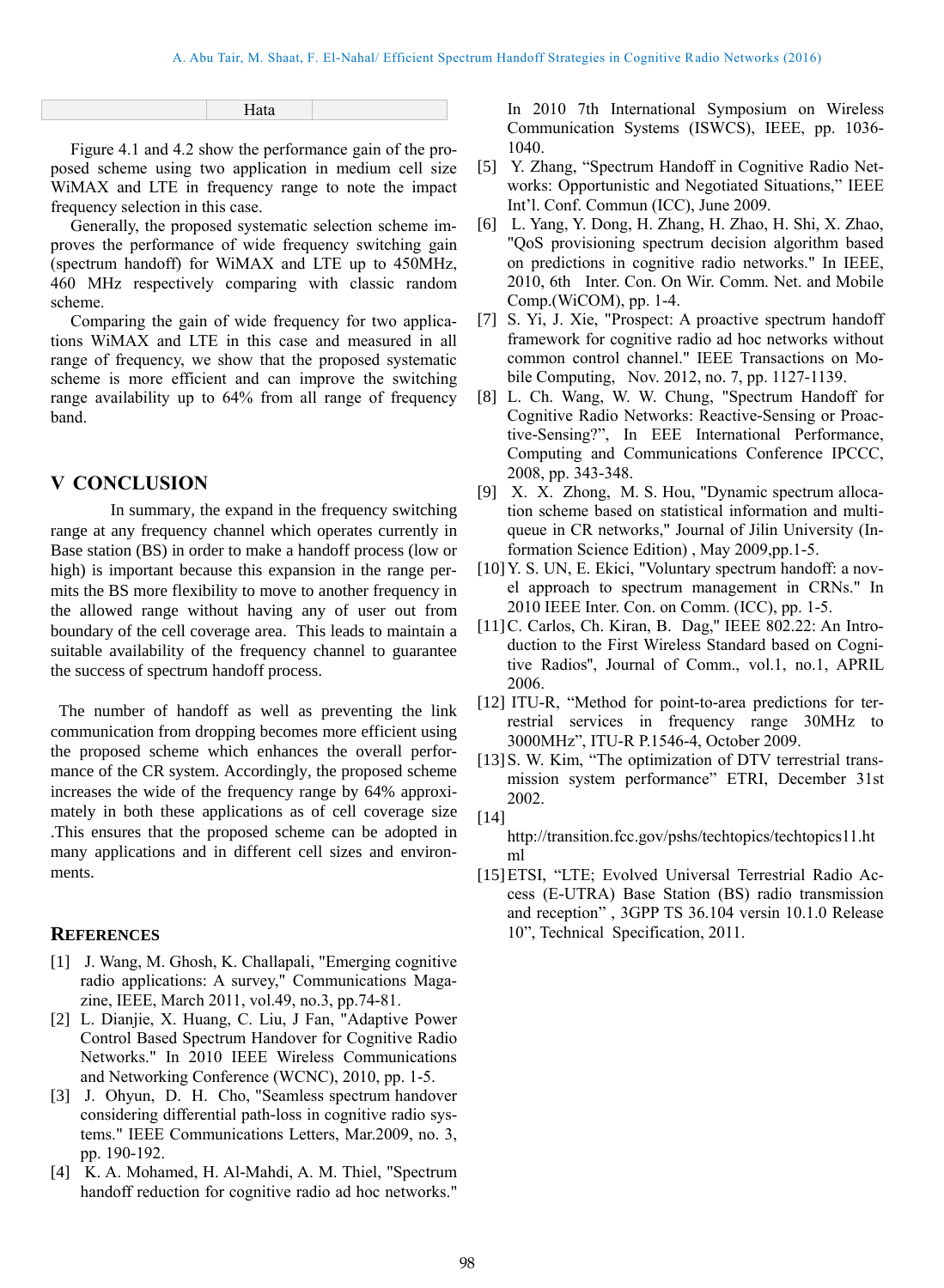| ------ |  |
|--------|--|
|        |  |

Figure 4.1 and 4.2 show the performance gain of the proposed scheme using two application in medium cell size WiMAX and LTE in frequency range to note the impact frequency selection in this case.

Generally, the proposed systematic selection scheme improves the performance of wide frequency switching gain (spectrum handoff) for WiMAX and LTE up to 450MHz, 460 MHz respectively comparing with classic random scheme.

Comparing the gain of wide frequency for two applications WiMAX and LTE in this case and measured in all range of frequency, we show that the proposed systematic scheme is more efficient and can improve the switching range availability up to 64% from all range of frequency band.

# **V CONCLUSION**

In summary, the expand in the frequency switching range at any frequency channel which operates currently in Base station (BS) in order to make a handoff process (low or high) is important because this expansion in the range permits the BS more flexibility to move to another frequency in the allowed range without having any of user out from boundary of the cell coverage area. This leads to maintain a suitable availability of the frequency channel to guarantee the success of spectrum handoff process.

 The number of handoff as well as preventing the link communication from dropping becomes more efficient using the proposed scheme which enhances the overall performance of the CR system. Accordingly, the proposed scheme increases the wide of the frequency range by 64% approximately in both these applications as of cell coverage size .This ensures that the proposed scheme can be adopted in many applications and in different cell sizes and environments.

#### **REFERENCES**

- [1] J. Wang, M. Ghosh, K. Challapali, "Emerging cognitive radio applications: A survey," Communications Magazine, IEEE, March 2011, vol.49, no.3, pp.74-81.
- [2] L. Dianjie, X. Huang, C. Liu, J Fan, "Adaptive Power Control Based Spectrum Handover for Cognitive Radio Networks." In 2010 IEEE Wireless Communications and Networking Conference (WCNC), 2010, pp. 1-5.
- [3] J. Ohyun, D. H. Cho, "Seamless spectrum handover considering differential path-loss in cognitive radio systems." IEEE Communications Letters, Mar.2009, no. 3, pp. 190-192.
- [4] K. A. Mohamed, H. Al-Mahdi, A. M. Thiel, "Spectrum handoff reduction for cognitive radio ad hoc networks."

In 2010 7th International Symposium on Wireless Communication Systems (ISWCS), IEEE, pp. 1036- 1040.

- [5] Y. Zhang, "Spectrum Handoff in Cognitive Radio Networks: Opportunistic and Negotiated Situations," IEEE Int'l. Conf. Commun (ICC), June 2009.
- [6] L. Yang, Y. Dong, H. Zhang, H. Zhao, H. Shi, X. Zhao, "QoS provisioning spectrum decision algorithm based on predictions in cognitive radio networks." In IEEE, 2010, 6th Inter. Con. On Wir. Comm. Net. and Mobile Comp.(WiCOM), pp. 1-4.
- [7] S. Yi, J. Xie, "Prospect: A proactive spectrum handoff framework for cognitive radio ad hoc networks without common control channel." IEEE Transactions on Mobile Computing, Nov. 2012, no. 7, pp. 1127-1139.
- [8] L. Ch. Wang, W. W. Chung, "Spectrum Handoff for Cognitive Radio Networks: Reactive-Sensing or Proactive-Sensing?", In EEE International Performance, Computing and Communications Conference IPCCC, 2008, pp. 343-348.
- [9] X. X. Zhong, M. S. Hou, "Dynamic spectrum allocation scheme based on statistical information and multiqueue in CR networks," Journal of Jilin University (Information Science Edition) , May 2009,pp.1-5.
- [10]Y. S. UN, E. Ekici, "Voluntary spectrum handoff: a novel approach to spectrum management in CRNs." In 2010 IEEE Inter. Con. on Comm. (ICC), pp. 1-5.
- [11]C. Carlos, Ch. Kiran, B. Dag,'' IEEE 802.22: An Introduction to the First Wireless Standard based on Cognitive Radios'', Journal of Comm., vol.1, no.1, APRIL 2006.
- [12] ITU-R, "Method for point-to-area predictions for terrestrial services in frequency range 30MHz to 3000MHz", ITU-R P.1546-4, October 2009.
- [13] S. W. Kim, "The optimization of DTV terrestrial transmission system performance" ETRI, December 31st 2002.
- [14]

http://transition.fcc.gov/pshs/techtopics/techtopics11.ht ml

[15]ETSI, "LTE; Evolved Universal Terrestrial Radio Access (E-UTRA) Base Station (BS) radio transmission and reception" , 3GPP TS 36.104 versin 10.1.0 Release 10", Technical Specification, 2011.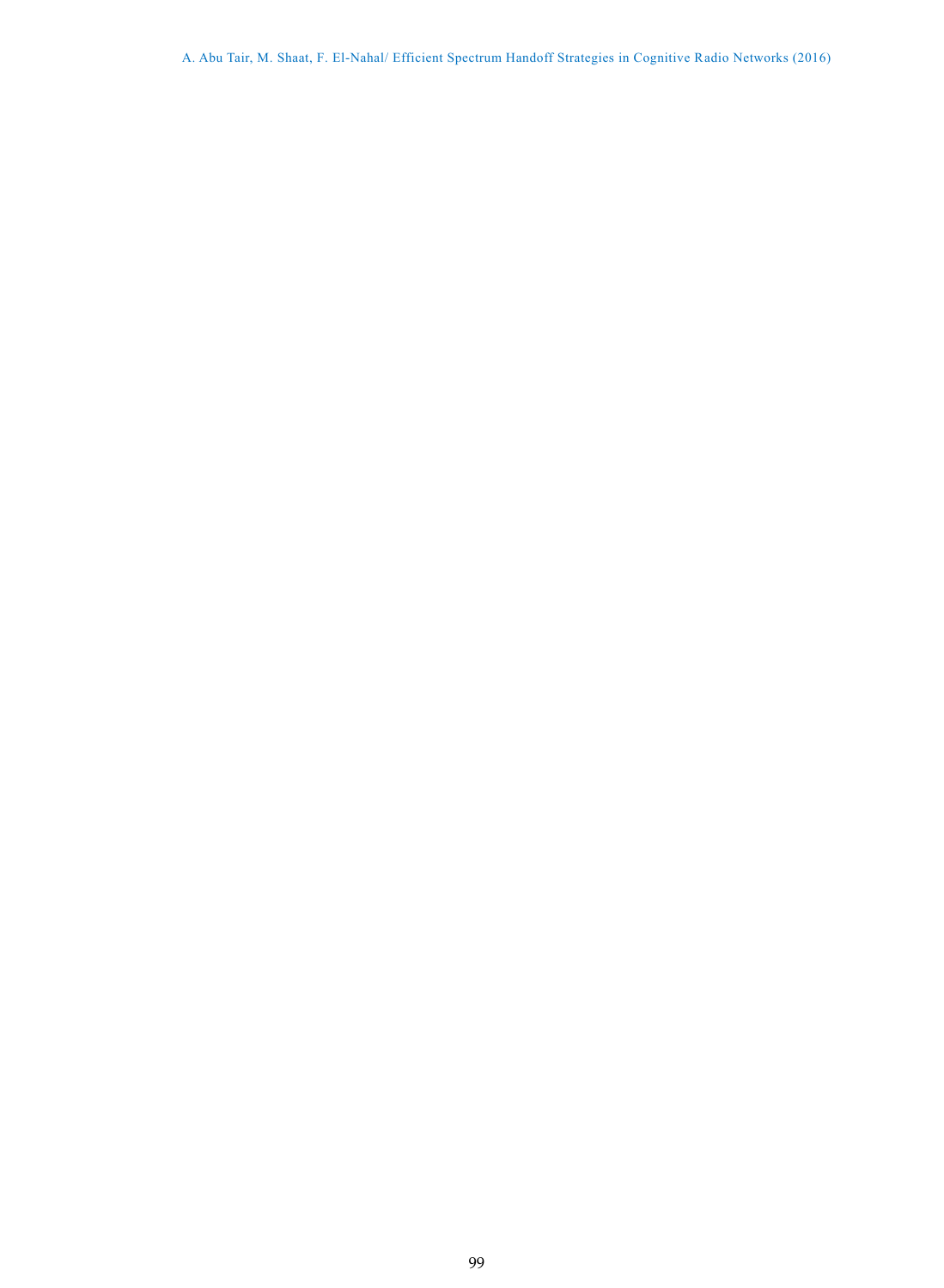A. Abu Tair, M. Shaat, F. El-Nahal/ Efficient Spectrum Handoff Strategies in Cognitive Radio Networks (2016)